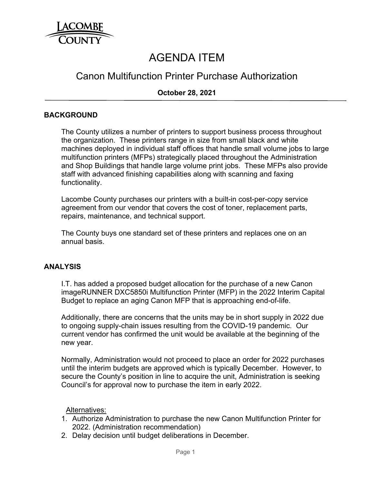

# AGENDA ITEM

# Canon Multifunction Printer Purchase Authorization

# **October 28, 2021**

### **BACKGROUND**

The County utilizes a number of printers to support business process throughout the organization. These printers range in size from small black and white machines deployed in individual staff offices that handle small volume jobs to large multifunction printers (MFPs) strategically placed throughout the Administration and Shop Buildings that handle large volume print jobs. These MFPs also provide staff with advanced finishing capabilities along with scanning and faxing functionality.

Lacombe County purchases our printers with a built-in cost-per-copy service agreement from our vendor that covers the cost of toner, replacement parts, repairs, maintenance, and technical support.

The County buys one standard set of these printers and replaces one on an annual basis.

#### **ANALYSIS**

I.T. has added a proposed budget allocation for the purchase of a new Canon imageRUNNER DXC5850i Multifunction Printer (MFP) in the 2022 Interim Capital Budget to replace an aging Canon MFP that is approaching end-of-life.

Additionally, there are concerns that the units may be in short supply in 2022 due to ongoing supply-chain issues resulting from the COVID-19 pandemic. Our current vendor has confirmed the unit would be available at the beginning of the new year.

Normally, Administration would not proceed to place an order for 2022 purchases until the interim budgets are approved which is typically December. However, to secure the County's position in line to acquire the unit, Administration is seeking Council's for approval now to purchase the item in early 2022.

Alternatives:

- 1. Authorize Administration to purchase the new Canon Multifunction Printer for 2022. (Administration recommendation)
- 2. Delay decision until budget deliberations in December.